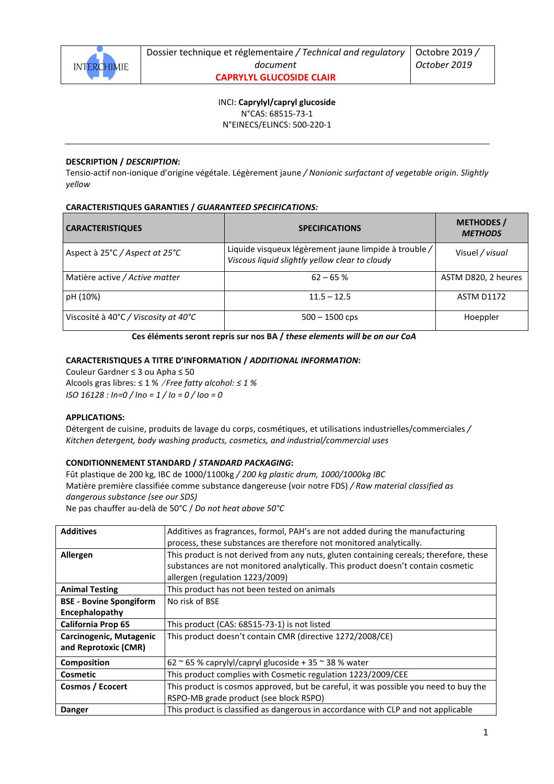

INCI: **Caprylyl/capryl glucoside** N°CAS: 68515-73-1 N°EINECS/ELINCS: 500-220-1

## **DESCRIPTION /** *DESCRIPTION***:**

Tensio-actif non-ionique d'origine végétale. Légèrement jaune */ Nonionic surfactant of vegetable origin. Slightly yellow* 

# **CARACTERISTIQUES GARANTIES /** *GUARANTEED SPECIFICATIONS:*

| <b>CARACTERISTIQUES</b>              | <b>SPECIFICATIONS</b>                                                                                   | <b>METHODES</b> /<br><b>METHODS</b> |
|--------------------------------------|---------------------------------------------------------------------------------------------------------|-------------------------------------|
| Aspect à 25°C / Aspect at 25°C       | Liquide visqueux légèrement jaune limpide à trouble /<br>Viscous liquid slightly yellow clear to cloudy | Visuel / visual                     |
| Matière active / Active matter       | $62 - 65%$                                                                                              | ASTM D820, 2 heures                 |
| pH (10%)                             | $11.5 - 12.5$                                                                                           | <b>ASTM D1172</b>                   |
| Viscosité à 40°C / Viscosity at 40°C | $500 - 1500$ cps                                                                                        | Hoeppler                            |

**Ces éléments seront repris sur nos BA /** *these elements will be on our CoA* 

# **CARACTERISTIQUES A TITRE D'INFORMATION /** *ADDITIONAL INFORMATION***:**

Couleur Gardner ≤ 3 ou Apha ≤ 50 Alcools gras libres: ≤ 1 % /*Free fatty alcohol: ≤ 1 % ISO 16128 : In=0 / Ino = 1 / Io = 0 / Ioo = 0* 

### **APPLICATIONS:**

Détergent de cuisine, produits de lavage du corps, cosmétiques, et utilisations industrielles/commerciales */ Kitchen detergent, body washing products, cosmetics, and industrial/commercial uses*

## **CONDITIONNEMENT STANDARD /** *STANDARD PACKAGING***:**

Fût plastique de 200 kg, IBC de 1000/1100kg */ 200 kg plastic drum, 1000/1000kg IBC* Matière première classifiée comme substance dangereuse (voir notre FDS) */ Raw material classified as dangerous substance (see our SDS)* 

Ne pas chauffer au-delà de 50°C / *Do not heat above 50°C* 

| <b>Additives</b>                                | Additives as fragrances, formol, PAH's are not added during the manufacturing<br>process, these substances are therefore not monitored analytically.                                                          |
|-------------------------------------------------|---------------------------------------------------------------------------------------------------------------------------------------------------------------------------------------------------------------|
| Allergen                                        | This product is not derived from any nuts, gluten containing cereals; therefore, these<br>substances are not monitored analytically. This product doesn't contain cosmetic<br>allergen (regulation 1223/2009) |
| <b>Animal Testing</b>                           | This product has not been tested on animals                                                                                                                                                                   |
| <b>BSE - Bovine Spongiform</b>                  | No risk of BSE                                                                                                                                                                                                |
| Encephalopathy                                  |                                                                                                                                                                                                               |
| <b>California Prop 65</b>                       | This product (CAS: 68515-73-1) is not listed                                                                                                                                                                  |
| Carcinogenic, Mutagenic<br>and Reprotoxic (CMR) | This product doesn't contain CMR (directive 1272/2008/CE)                                                                                                                                                     |
| Composition                                     | 62 $\approx$ 65 % caprylyl/capryl glucoside + 35 $\approx$ 38 % water                                                                                                                                         |
| Cosmetic                                        | This product complies with Cosmetic regulation 1223/2009/CEE                                                                                                                                                  |
| Cosmos / Ecocert                                | This product is cosmos approved, but be careful, it was possible you need to buy the                                                                                                                          |
|                                                 | RSPO-MB grade product (see block RSPO)                                                                                                                                                                        |
| <b>Danger</b>                                   | This product is classified as dangerous in accordance with CLP and not applicable                                                                                                                             |